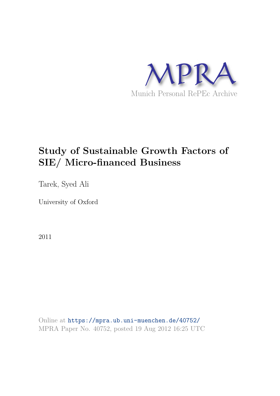

# **Study of Sustainable Growth Factors of SIE/ Micro-financed Business**

Tarek, Syed Ali

University of Oxford

2011

Online at https://mpra.ub.uni-muenchen.de/40752/ MPRA Paper No. 40752, posted 19 Aug 2012 16:25 UTC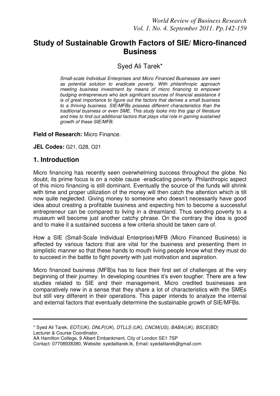## **Study of Sustainable Growth Factors of SIE/ Micro-financed Business**

## Syed Ali Tarek\*

*Small-scale Individual Enterprises and Micro Financed Businesses are seen as potential solution to eradicate poverty. With philanthropic approach meeting business investment by means of micro financing to empower budging entrepreneurs who lack significant sources of financial assistance it is of great importance to figure out the factors that derives a small business to a thriving business. SIE/MFBs possess different characteristics than the traditional business or even SME. This study looks into this gap of literature and tries to find out additional factors that plays vital role in gaining sustained growth of these SIE/MFB.* 

#### **Field of Research:** Micro Finance.

**JEL Codes:** G21, G28, O21

### **1. Introduction**

Micro financing has recently seen overwhelming success throughout the globe. No doubt, its prime focus is on a noble cause -eradicating poverty. Philanthropic aspect of this micro financing is still dominant. Eventually the source of the funds will shrink with time and proper utilization of the money will then catch the attention which is till now quite neglected. Giving money to someone who doesn"t necessarily have good idea about creating a profitable business and expecting him to become a successful entrepreneur can be compared to living in a dreamland. Thus sending poverty to a museum will become just another catchy phrase. On the contrary the idea is good and to make it a sustained success a few criteria should be taken care of.

How a SIE (Small-Scale Individual Enterprise)/MFB (Micro Financed Business) is affected by various factors that are vital for the business and presenting them in simplistic manner so that these hands to mouth living people know what they must do to succeed in the battle to fight poverty with just motivation and aspiration.

Micro financed business (MFB)s has to face their first set of challenges at the very beginning of their journey. In developing countries it's even tougher. There are a few studies related to SIE and their management. Micro credited businesses are comparatively new in a sense that they share a lot of characteristics with the SMEs but still very different in their operations. This paper intends to analyze the internal and external factors that eventually determine the sustainable growth of SIE/MFBs.

<sup>\*</sup> Syed Ali Tarek, *EOT(UK), DNLP(UK*)*, DTLLS (UK), CNCM(US), BABA(UK), BSCE(BD)* Lecturer & Course Coordinator,

AA Hamilton College, 9 Albert Embankment, City of London SE1 7SP

Contact: 07708938380, Website: syedalitarek.tk, Email: syedalitarek@gmail.com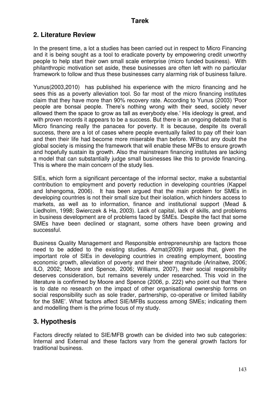## **2. Literature Review**

In the present time, a lot a studies has been carried out in respect to Micro Financing and it is being sought as a tool to eradicate poverty by empowering credit unworthy people to help start their own small scale enterprise (micro funded business). With philanthropic motivation set aside, these businesses are often left with no particular framework to follow and thus these businesses carry alarming risk of business failure.

Yunus(2003,2010) has published his experience with the micro financing and he sees this as a poverty alleviation tool. So far most of the micro financing institutes claim that they have more than 90% recovery rate. According to Yunus (2003) "Poor people are bonsai people. There"s nothing wrong with their seed, society never allowed them the space to grow as tall as everybody else." His ideology is great, and with proven records it appears to be a success. But there is an ongoing debate that is Micro financing really the panacea for poverty. It is because, despite its overall success, there are a lot of cases where people eventually failed to pay off their loan and then their life had become more miserable than before. Without any doubt the global society is missing the framework that will enable these MFBs to ensure growth and hopefully sustain its growth. Also the mainstream financing institutes are lacking a model that can substantially judge small businesses like this to provide financing. This is where the main concern of the study lies.

SIEs, which form a significant percentage of the informal sector, make a substantial contribution to employment and poverty reduction in developing countries (Kappel and Ishengoma, 2006). It has been argued that the main problem for SMEs in developing countries is not their small size but their isolation, which hinders access to markets, as well as to information, finance and institutional support (Mead & Liedholm, 1998; Swierczek & Ha, 2003). Lack of capital, lack of skills, and problems in business development are of problems faced by SMEs. Despite the fact that some SMEs have been declined or stagnant, some others have been growing and successful.

Business Quality Management and Responsible entrepreneurship are factors those need to be added to the existing studies. Azmat(2009) argues that, given the important role of SIEs in developing countries in creating employment, boosting economic growth, alleviation of poverty and their sheer magnitude (Arinaitwe, 2006; ILO, 2002; Moore and Spence, 2006; Williams, 2007), their social responsibility deserves consideration, but remains severely under researched. This void in the literature is confirmed by Moore and Spence (2006, p. 222) who point out that "there is to date no research on the impact of other organisational ownership forms on social responsibility such as sole trader, partnership, co-operative or limited liability for the SME". What factors affect SIE/MFBs success among SMEs; indicating them and modelling them is the prime focus of my study.

## **3. Hypothesis**

Factors directly related to SIE/MFB growth can be divided into two sub categories: Internal and External and these factors vary from the general growth factors for traditional business.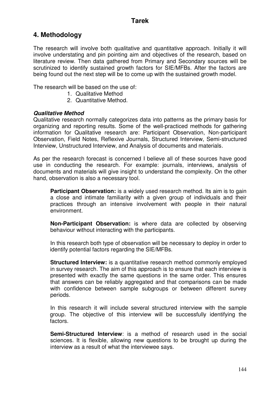## **4. Methodology**

The research will involve both qualitative and quantitative approach. Initially it will involve understating and pin pointing aim and objectives of the research, based on literature review. Then data gathered from Primary and Secondary sources will be scrutinized to identify sustained growth factors for SIE/MFBs. After the factors are being found out the next step will be to come up with the sustained growth model.

The research will be based on the use of:

- 1. Qualitative Method
- 2. Quantitative Method.

#### *Qualitative Method*

Qualitative research normally categorizes data into patterns as the primary basis for organizing and reporting results. Some of the well-practiced methods for gathering information for Qualitative research are: Participant Observation, Non-participant Observation, Field Notes, Reflexive Journals, Structured Interview, Semi-structured Interview, Unstructured Interview, and Analysis of documents and materials.

As per the research forecast is concerned I believe all of these sources have good use in conducting the research. For example: journals, interviews, analysis of documents and materials will give insight to understand the complexity. On the other hand, observation is also a necessary tool.

**Participant Observation:** is a widely used research method. Its aim is to gain a close and intimate familiarity with a given group of individuals and their practices through an intensive involvement with people in their natural environment.

**Non-Participant Observation:** is where data are collected by observing behaviour without interacting with the participants.

In this research both type of observation will be necessary to deploy in order to identify potential factors regarding the SIE/MFBs.

**Structured Interview:** is a [quantitative research](http://en.wikipedia.org/wiki/Quantitative_research) method commonly employed in [survey research.](http://en.wikipedia.org/wiki/Survey_research) The aim of this approach is to ensure that each interview is presented with exactly the same questions in the same order. This ensures that answers can be reliably aggregated and that comparisons can be made with confidence between sample subgroups or between different survey periods.

In this research it will include several structured interview with the sample group. The objective of this interview will be successfully identifying the factors.

**Semi-Structured Interview**: is a method of [research](http://en.wikipedia.org/wiki/Research) used in the [social](http://en.wikipedia.org/wiki/Social_sciences)  [sciences.](http://en.wikipedia.org/wiki/Social_sciences) It is flexible, allowing new questions to be brought up during the interview as a result of what the interviewee says.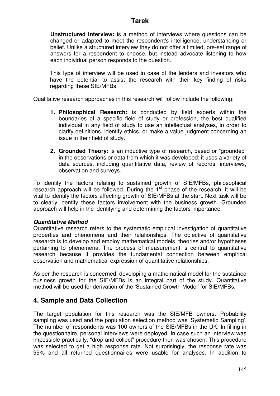**Unstructured Interview:** is a method of interviews where questions can be changed or adapted to meet the respondent's intelligence, understanding or belief. Unlike a [structured interview](http://en.wikipedia.org/wiki/Structured_interview) they do not offer a limited, pre-set range of answers for a respondent to choose, but instead advocate listening to how each individual person responds to the question.

This type of interview will be used in case of the lenders and investors who have the potential to assist the research with their key finding of risks regarding these SIE/MFBs.

Qualitative research approaches in this research will follow include the following:

- **1. Philosophical Research:** is conducted by field experts within the boundaries of a specific field of study or profession, the best qualified individual in any field of study to use an intellectual analyses, in order to clarify definitions, identify ethics, or make a value judgment concerning an issue in their field of study.
- **2. Grounded Theory:** is an inductive type of research, based or "grounded" in the observations or data from which it was developed; it uses a variety of data sources, including quantitative data, review of records, interviews, observation and surveys.

To identify the factors relating to sustained growth of SIE/MFBs, philosophical research approach will be followed. During the  $1<sup>st</sup>$  phase of the research, it will be vital to identify the factors affecting growth of SIE/MFBs at the start. Next task will be to clearly identify these factors involvement with the business growth. Grounded approach will help in the identifying and determining the factors importance.

#### *Quantitative Method*

Quantitative research refers to the systematic empirical investigation of [quantitative](http://en.wikipedia.org/wiki/Quantitative_property)  [properties](http://en.wikipedia.org/wiki/Quantitative_property) and [phenomena](http://en.wikipedia.org/wiki/Phenomena) and their [relationships.](http://en.wikipedia.org/wiki/Causality) The objective of quantitative research is to develop and employ [mathematical models,](http://en.wikipedia.org/wiki/Mathematical_model) [theories](http://en.wikipedia.org/wiki/Theories) and/or [hypotheses](http://en.wikipedia.org/wiki/Hypotheses)  pertaining to phenomena. The process of [measurement](http://en.wikipedia.org/wiki/Measurement) is central to quantitative research because it provides the fundamental connection between [empirical](http://en.wikipedia.org/wiki/Empirical)  [observation](http://en.wikipedia.org/wiki/Observation) and mathematical expression of quantitative relationships.

As per the research is concerned, developing a mathematical model for the sustained business growth for the SIE/MFBs is an integral part of the study. Quantitative method will be used for derivation of the "Sustained Growth Model" for SIE/MFBs.

### **4. Sample and Data Collection**

The target population for this research was the SIE/MFB owners. Probability sampling was used and the population selection method was "Systemetic Sampling". The number of respondents was 100 owners of the SIE/MFBs in the UK. In filling in the questionnaire, personal interviews were deployed. In case such an interview was impossible practically, "drop and collect" procedure then was chosen. This procedure was selected to get a high response rate. Not surprisingly, the response rate was 99% and all returned questionnaires were usable for analyses. In addition to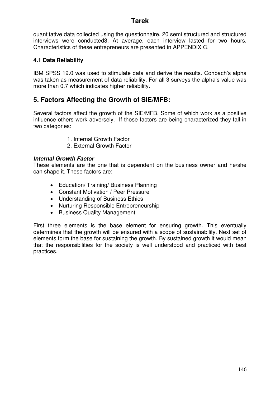quantitative data collected using the questionnaire, 20 semi structured and structured interviews were conducted3. At average, each interview lasted for two hours. Characteristics of these entrepreneurs are presented in APPENDIX C.

#### **4.1 Data Reliability**

IBM SPSS 19.0 was used to stimulate data and derive the results. Conbach"s alpha was taken as measurement of data reliability. For all 3 surveys the alpha's value was more than 0.7 which indicates higher reliability.

## **5. Factors Affecting the Growth of SIE/MFB:**

Several factors affect the growth of the SIE/MFB. Some of which work as a positive influence others work adversely. If those factors are being characterized they fall in two categories:

- 1. Internal Growth Factor
- 2. External Growth Factor

#### *Internal Growth Factor*

These elements are the one that is dependent on the business owner and he/she can shape it. These factors are:

- Education/ Training/ Business Planning
- Constant Motivation / Peer Pressure
- Understanding of Business Ethics
- Nurturing Responsible Entrepreneurship
- Business Quality Management

First three elements is the base element for ensuring growth. This eventually determines that the growth will be ensured with a scope of sustainability. Next set of elements form the base for sustaining the growth. By sustained growth it would mean that the responsibilities for the society is well understood and practiced with best practices.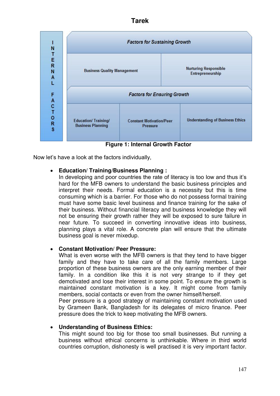

**Figure 1: Internal Growth Factor** 

Now let"s have a look at the factors individually,

#### **Education/ Training/Business Planning :**

In developing and poor countries the rate of literacy is too low and thus it's hard for the MFB owners to understand the basic business principles and interpret their needs. Formal education is a necessity but this is time consuming which is a barrier. For those who do not possess formal training must have some basic level business and finance training for the sake of their business. Without financial literacy and business knowledge they will not be ensuring their growth rather they will be exposed to sure failure in near future. To succeed in converting innovative ideas into business, planning plays a vital role. A concrete plan will ensure that the ultimate business goal is never mixedup.

#### **Constant Motivation/ Peer Pressure:**

What is even worse with the MFB owners is that they tend to have bigger family and they have to take care of all the family members. Large proportion of these business owners are the only earning member of their family. In a condition like this it is not very strange to if they get demotivated and lose their interest in some point. To ensure the growth is maintained constant motivation is a key. It might come from family members, social contacts or even from the owner himself/herself.

Peer pressure is a good strategy of maintaining constant motivation used by Grameen Bank, Bangladesh for its delegates of micro finance. Peer pressure does the trick to keep motivating the MFB owners.

#### **Understanding of Business Ethics:**

This might sound too big for those too small businesses. But running a business without ethical concerns is unthinkable. Where in third world countries corruption, dishonesty is well practised it is very important factor.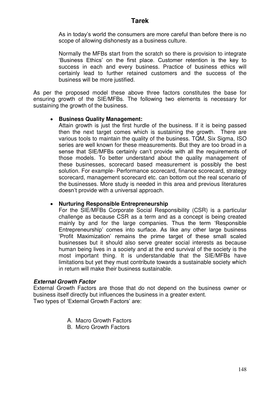As in today"s world the consumers are more careful than before there is no scope of allowing dishonesty as a business culture.

Normally the MFBs start from the scratch so there is provision to integrate "Business Ethics" on the first place. Customer retention is the key to success in each and every business. Practice of business ethics will certainly lead to further retained customers and the success of the business will be more justified.

As per the proposed model these above three factors constitutes the base for ensuring growth of the SIE/MFBs. The following two elements is necessary for sustaining the growth of the business.

#### **Business Quality Management:**

Attain growth is just the first hurdle of the business. If it is being passed then the next target comes which is sustaining the growth. There are various tools to maintain the quality of the business. TQM, Six Sigma, ISO series are well known for these measurements. But they are too broad in a sense that SIE/MFBs certainly can"t provide with all the requirements of those models. To better understand about the quality management of these businesses, scorecard based measurement is possibly the best solution. For example- Performance scorecard, finance scorecard, strategy scorecard, management scorecard etc. can bottom out the real scenario of the businesses. More study is needed in this area and previous literatures doesn"t provide with a universal approach.

#### **Nurturing Responsible Entrepreneurship**

For the SIE/MFBs Corporate Social Responsibility (CSR) is a particular challenge as because CSR as a term and as a concept is being created mainly by and for the large companies. Thus the term "Responsible Entrepreneurship" comes into surface. As like any other large business "Profit Maximization" remains the prime target of these small scaled businesses but it should also serve greater social interests as because human being lives in a society and at the end survival of the society is the most important thing. It is understandable that the SIE/MFBs have limitations but yet they must contribute towards a sustainable society which in return will make their business sustainable.

#### *External Growth Factor*

External Growth Factors are those that do not depend on the business owner or business itself directly but influences the business in a greater extent. Two types of 'External Growth Factors' are:

- A. Macro Growth Factors
- B. Micro Growth Factors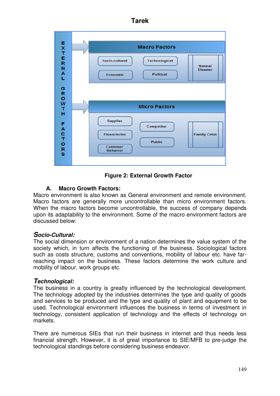|                                    | <b>Macro Factors</b>                                                                                        |
|------------------------------------|-------------------------------------------------------------------------------------------------------------|
| EXTERNAL                           | Socio-cultural<br>Technological<br><b>Natural</b><br><b>Disaster</b><br><b>Political</b><br><b>Economic</b> |
|                                    |                                                                                                             |
| G                                  | <b>Micro Factors</b>                                                                                        |
| $T + \leq O \pi$<br><b>FACTORS</b> | <b>Supplier</b><br><b>Competitor</b><br><b>Financieries</b><br><b>Family Crisis</b><br><b>Public</b>        |

**Figure 2: External Growth Factor** 

#### **A. Macro Growth Factors:**

Macro environment is also known as General environment and remote environment. Macro factors are generally more uncontrollable than micro environment factors. When the macro factors become uncontrollable, the success of company depends upon its adaptability to the environment. Some of the macro environment factors are discussed below:

#### *Socio-Cultural:*

The social dimension or environment of a nation determines the value system of the society which, in turn affects the functioning of the business. Sociological factors such as costs structure, customs and conventions, mobility of labour etc. have farreaching impact on the business. These factors determine the work culture and mobility of labour, work groups etc.

#### *Technological:*

The business in a country is greatly influenced by the technological development. The technology adopted by the industries determines the type and quality of goods and services to be produced and the type and quality of plant and equipment to be used. Technological environment influences the business in terms of investment in technology, consistent application of technology and the effects of technology on markets.

There are numerous SIEs that run their business in internet and thus needs less financial strength. However, it is of great importance to SIE/MFB to pre-judge the technological standings before considering business endeavor.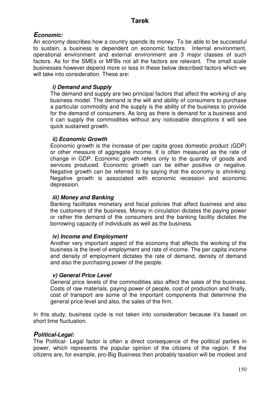## *Economic:*

An economy describes how a country spends its money. To be able to be successful to sustain, a business is dependent on economic factors. Internal environment, operational environment and external environment are 3 major classes of such factors. As for the SMEs or MFBs not all the factors are relevant. The small scale businesses however depend more or less in these below described factors which we will take into consideration. These are:

### *i) Demand and Supply*

The demand and supply are two principal factors that affect the working of any business model. The demand is the will and ability of consumers to purchase a particular commodity and the supply is the ability of the business to provide for the demand of consumers. As long as there is demand for a business and it can supply the commodities without any noticeable disruptions it will see quick sustained growth.

### *ii) Economic Growth*

Economic growth is the increase of per capita gross domestic product (GDP) or other measure of aggregate income. It is often measured as the rate of change in GDP. Economic growth refers only to the quantity of goods and services produced. Economic growth can be either positive or negative. Negative growth can be referred to by saying that the economy is *shrinking*. Negative growth is associated with economic recession and economic depression.

#### *iii) Money and Banking*

Banking facilitates monetary and fiscal policies that affect business and also the customers of the business. Money in circulation dictates the paying power or rather the demand of the consumers and the banking facility dictates the borrowing capacity of individuals as well as the business.

#### *iv) Income and Employment*

Another very important aspect of the economy that affects the working of the business is the level of employment and rate of income. The per capita income and density of employment dictates the rate of demand, density of demand and also the purchasing power of the people.

#### *v) General Price Level*

General price levels of the commodities also affect the sales of the business. Costs of raw materials, paying power of people, cost of production and finally, cost of transport are some of the important components that determine the general price level and also, the sales of the firm.

In this study, business cycle is not taken into consideration because it's based on short time fluctuation.

#### *Political-Legal:*

The Political- Legal factor is often a direct consequence of the political parties in power, which represents the popular opinion of the citizens of the region. If the citizens are, for example, pro-Big Business then probably taxation will be modest and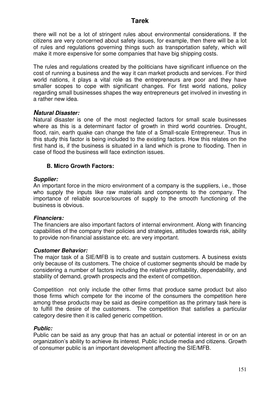there will not be a lot of stringent rules about environmental considerations. If the citizens are very concerned about safety issues, for example, then there will be a lot of rules and regulations governing things such as transportation safety, which will make it more expensive for some companies that have big shipping costs.

The rules and regulations created by the politicians have significant influence on the cost of running a business and the way it can market products and services. For third world nations, it plays a vital role as the entrepreneurs are poor and they have smaller scopes to cope with significant changes. For first world nations, policy regarding small businesses shapes the way entrepreneurs get involved in investing in a rather new idea.

#### *Natural Disaster:*

Natural disaster is one of the most neglected factors for small scale businesses where as this is a determinant factor of growth in third world countries. Drought, flood, rain, earth quake can change the fate of a Small-scale Entrepreneur. Thus in this study this factor is being included to the existing factors. How this relates on the first hand is, if the business is situated in a land which is prone to flooding. Then in case of flood the business will face extinction issues.

#### **B. Micro Growth Factors:**

#### *Supplier:*

An important force in the micro environment of a company is the suppliers, i.e., those who supply the inputs like raw materials and components to the company. The importance of reliable source/sources of supply to the smooth functioning of the business is obvious.

#### *Financiers:*

The financiers are also important factors of internal environment. Along with financing capabilities of the company their policies and strategies, attitudes towards risk, ability to provide non-financial assistance etc. are very important.

#### *Customer Behavior:*

The major task of a SIE/MFB is to create and sustain customers. A business exists only because of its customers. The choice of customer segments should be made by considering a number of factors including the relative profitability, dependability, and stability of demand, growth prospects and the extent of competition.

Competition not only include the other firms that produce same product but also those firms which compete for the income of the consumers the competition here among these products may be said as desire competition as the primary task here is to fulfill the desire of the customers. The competition that satisfies a particular category desire then it is called generic competition.

#### *Public:*

Public can be said as any group that has an actual or potential interest in or on an organization"s ability to achieve its interest. Public include media and citizens. Growth of consumer public is an important development affecting the SIE/MFB.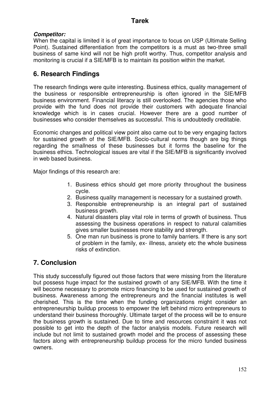#### *Competitor:*

When the capital is limited it is of great importance to focus on USP (Ultimate Selling Point). Sustained differentiation from the competitors is a must as two-three small business of same kind will not be high profit worthy. Thus, competitor analysis and monitoring is crucial if a SIE/MFB is to maintain its position within the market.

## **6. Research Findings**

The research findings were quite interesting. Business ethics, quality management of the business or responsible entrepreneurship is often ignored in the SIE/MFB business environment. Financial literacy is still overlooked. The agencies those who provide with the fund does not provide their customers with adequate financial knowledge which is in cases crucial. However there are a good number of businesses who consider themselves as successful. This is undoubtedly creditable.

Economic changes and political view point also came out to be very engaging factors for sustained growth of the SIE/MFB. Socio-cultural norms though are big things regarding the smallness of these businesses but it forms the baseline for the business ethics. Technological issues are vital if the SIE/MFB is significantly involved in web based business.

Major findings of this research are:

- 1. Business ethics should get more priority throughout the business cycle.
- 2. Business quality management is necessary for a sustained growth.
- 3. Responsible entrepreneurship is an integral part of sustained business growth.
- 4. Natural disasters play vital role in terms of growth of business. Thus assessing the business operations in respect to natural calamities gives smaller businesses more stability and strength.
- 5. One man run business is prone to family barriers. If there is any sort of problem in the family, ex- illness, anxiety etc the whole business risks of extinction.

## **7. Conclusion**

This study successfully figured out those factors that were missing from the literature but possess huge impact for the sustained growth of any SIE/MFB. With the time it will become necessary to promote micro financing to be used for sustained growth of business. Awareness among the entrepreneurs and the financial institutes is well cherished. This is the time when the funding organizations might consider an entrepreneurship buildup process to empower the left behind micro entrepreneurs to understand their business thoroughly. Ultimate target of the process will be to ensure the business growth is sustained. Due to time and resources constraint it was not possible to get into the depth of the factor analysis models. Future research will include but not limit to sustained growth model and the process of assessing these factors along with entrepreneurship buildup process for the micro funded business owners.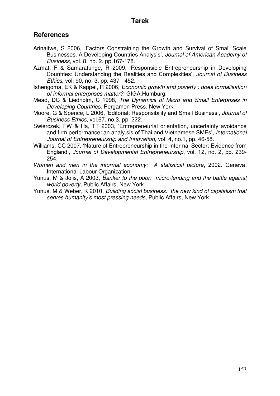## **References**

- Arinaitwe, S 2006, "Factors Constraining the Growth and Survival of Small Scale Businesses. A Developing Countries Analysis", *Journal of American Academy of Business*, vol. 8, no. 2, pp.167-178.
- Azmat, F & Samaratunge, R 2009, "Responsible Entrepreneurship in Developing Countries: Understanding the Realities and Complexities", *Journal of Business Ethics*, vol. 90, no. 3, pp. 437 - 452.
- Ishengoma, EK & Kappel, R 2006, *Economic growth and poverty : does formalisation of informal enterprises matter?*, GIGA,Humburg.
- Mead, DC & Liedholm, C 1998, *The Dynamics of Micro and Small Enterprises in Developing Countries*. Pergamon Press, New York.
- Moore, G & Spence, L 2006, "Editorial: Responsibility and Small Business", *Journal of Business Ethics*, vol.67, no.3, pp. 222.
- Swierczek, FW & Ha, TT 2003, "Entrepreneurial orientation, uncertainty avoidance and firm performance: an analy,sis of Thai and Vietnamese SMEs", *International Journal of Entrepreneurship and Innovation*, vol. 4, no.1, pp. 46-58.
- Williams, CC 2007, "Nature of Entrepreneurship in the Informal Sector: Evidence from England", *Journal of Developmental Entrepreneurship*, vol. 12, no. 2, pp. 239- 254.
- *Women and men in the informal economy: A statistical picture*, 2002. Geneva: International Labour Organization.
- Yunus, M & Jolis, A 2003, *Banker to the poor: micro-lending and the battle against world poverty*, Public Affairs, New York.
- Yunus, M & Weber, K 2010, *Building social business: the new kind of capitalism that serves humanity's most pressing needs*, Public Affairs, New York.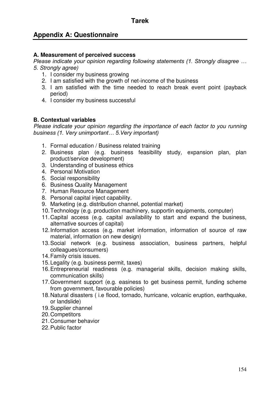## **Appendix A: Questionnaire**

#### **A. Measurement of perceived success**

*Please indicate your opinion regarding following statements (1. Strongly disagree … 5. Strongly agree)* 

- 1. I consider my business growing
- 2. I am satisfied with the growth of net-income of the business
- 3. I am satisfied with the time needed to reach break event point (payback period)
- 4. I consider my business successful

#### **B. Contextual variables**

*Please indicate your opinion regarding the importance of each factor to you running business (1. Very unimportant… 5.Very important)*

- 1. Formal education / Business related training
- 2. Business plan (e.g. business feasibility study, expansion plan, plan product/service development)
- 3. Understanding of business ethics
- 4. Personal Motivation
- 5. Social responsibility
- 6. Business Quality Management
- 7. Human Resource Management
- 8. Personal capital inject capability.
- 9. Marketing (e.g. distribution channel, potential market)
- 10. Technology (e.g. production machinery, supportin equipments, computer)
- 11. Capital access (e.g. capital availability to start and expand the business, alternative sources of capital)
- 12. Information access (e.g. market information, information of source of raw material, information on new design)
- 13. Social network (e.g. business association, business partners, helpful colleagues/consumers)
- 14. Family crisis issues.
- 15. Legality (e.g. business permit, taxes)
- 16. Entrepreneurial readiness (e.g. managerial skills, decision making skills, communication skills)
- 17. Government support (e.g. easiness to get business permit, funding scheme from government, favourable policies)
- 18. Natural disasters ( i.e [flood,](http://en.wikipedia.org/wiki/Flood) [tornado,](http://en.wikipedia.org/wiki/Tornado) [hurricane,](http://en.wikipedia.org/wiki/Hurricane) [volcanic eruption,](http://en.wikipedia.org/wiki/Volcanic_eruption) [earthquake,](http://en.wikipedia.org/wiki/Earthquake) or [landslide\)](http://en.wikipedia.org/wiki/Landslide)
- 19. Supplier channel
- 20. Competitors
- 21. Consumer behavior
- 22. Public factor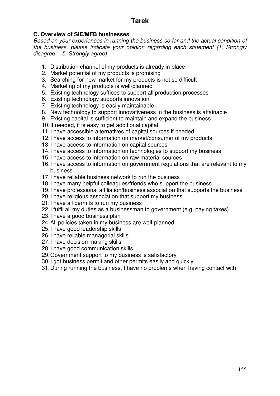#### **C. Overview of SIE/MFB businesses**

*Based on your experiences in running the business so far and the actual condition of the business, please indicate your opinion regarding each statement (1. Strongly disagree… 5. Strongly agree)*

- 1. Distribution channel of my products is already in place
- 2. Market potential of my products is promising
- 3. Searching for new market for my products is not so difficult
- 4. Marketing of my products is well-planned
- 5. Existing technology suffices to support all production processes
- 6. Existing technology supports innovation
- 7. Existing technology is easily maintainable
- 8. New technology to support innovativeness in the business is attainable
- 9. Existing capital is sufficient to maintain and expand the business
- 10. If needed, it is easy to get additional capital
- 11. I have accessible alternatives of capital sources if needed
- 12. I have access to information on market/consumer of my products
- 13. I have access to information on capital sources
- 14. I have access to information on technologies to support my business
- 15. I have access to information on raw material sources
- 16. I have access to information on government regulations that are relevant to my business
- 17. I have reliable business network to run the business
- 18. I have many helpful colleagues/friends who support the business
- 19. I have professional affiliation/business association that supports the business
- 20. I have religious association that support my business
- 21. I have all permits to run my business
- 22. I fulfil all my duties as a businessman to government (e.g. paying taxes)
- 23. I have a good business plan
- 24. All policies taken in my business are well-planned
- 25. I have good leadership skills
- 26. I have reliable managerial skills
- 27. I have decision making skills
- 28. I have good communication skills
- 29. Government support to my business is satisfactory
- 30. I got business permit and other permits easily and quickly
- 31. During running the business, I have no problems when having contact with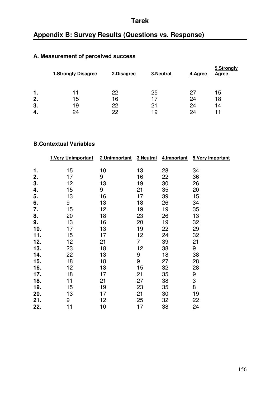## **Appendix B: Survey Results (Questions vs. Response)**

## **A. Measurement of perceived success**

|    | <b>1.Strongly Disagree</b> | 2.Disagree | 3. Neutral | 4.Agree | 5.Strongly<br><b>Agree</b> |
|----|----------------------------|------------|------------|---------|----------------------------|
| 1. |                            | 22         | 25         | 27      | 15                         |
| 2. | 15                         | 16         | 17         | 24      | 18                         |
| 3. | 19                         | 22         | 21         | 24      | 14                         |
| 4. | 24                         | 22         | 19         | 24      |                            |

#### **B.Contextual Variables**

|     | 1. Very Unimportant | 2.Unimportant | 3. Neutral       | 4. Important | 5. Very Important |
|-----|---------------------|---------------|------------------|--------------|-------------------|
|     |                     |               |                  |              |                   |
| 1.  | 15                  | 10            | 13               | 28           | 34                |
| 2.  | 17                  | 9             | 16               | 22           | 36                |
| 3.  | 12                  | 13            | 19               | 30           | 26                |
| 4.  | 15                  | 9             | 21               | 35           | 20                |
| 5.  | 13                  | 16            | 17               | 39           | 15                |
| 6.  | 9                   | 13            | 18               | 26           | 34                |
| 7.  | 15                  | 12            | 19               | 19           | 35                |
| 8.  | 20                  | 18            | 23               | 26           | 13                |
| 9.  | 13                  | 16            | 20               | 19           | 32                |
| 10. | 17                  | 13            | 19               | 22           | 29                |
| 11. | 15                  | 17            | 12               | 24           | 32                |
| 12. | 12                  | 21            | $\overline{7}$   | 39           | 21                |
| 13. | 23                  | 18            | 12               | 38           | 9                 |
| 14. | 22                  | 13            | 9                | 18           | 38                |
| 15. | 18                  | 18            | $\boldsymbol{9}$ | 27           | 28                |
| 16. | 12                  | 13            | 15               | 32           | 28                |
| 17. | 18                  | 17            | 21               | 35           | 9                 |
| 18. | 11                  | 21            | 27               | 38           | 3                 |
| 19. | 15                  | 19            | 23               | 35           | 8                 |
| 20. | 13                  | 17            | 21               | 30           | 19                |
| 21. | 9                   | 12            | 25               | 32           | 22                |
| 22. | 11                  | 10            | 17               | 38           | 24                |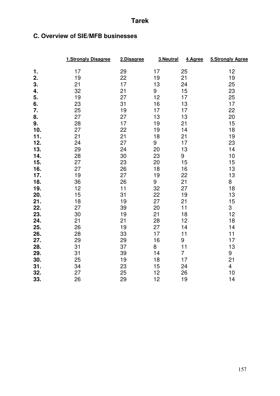## **C. Overview of SIE/MFB businesses**

|     | 1.Strongly Disagree | 2.Disagree | 3.Neutral | 4.Agree        | 5.Strongly Agree |
|-----|---------------------|------------|-----------|----------------|------------------|
| 1.  | 17                  | 29         | 17        | 25             | 12               |
| 2.  | 19                  | 22         | 19        | 21             | 19               |
| 3.  | 21                  | 17         | 13        | 24             | 25               |
| 4.  | 32                  | 21         | 9         | 15             | 23               |
| 5.  | 19                  | 27         | 12        | 17             | 25               |
| 6.  | 23                  | 31         | 16        | 13             | 17               |
| 7.  | 25                  | 19         | 17        | 17             | 22               |
| 8.  | 27                  | 27         | 13        | 13             | 20               |
| 9.  | 28                  | 17         | 19        | 21             | 15               |
| 10. | 27                  | 22         | 19        | 14             | 18               |
| 11. | 21                  | 21         | 18        | 21             | 19               |
| 12. | 24                  | 27         | 9         | 17             | 23               |
| 13. | 29                  | 24         | 20        | 13             | 14               |
| 14. | 28                  | 30         | 23        | 9              | 10               |
| 15. | 27                  | 23         | 20        | 15             | 15               |
| 16. | 27                  | 26         | 18        | 16             | 13               |
| 17. | 19                  | 27         | 19        | 22             | 13               |
| 18. | 36                  | 26         | 9         | 21             | 8                |
| 19. | 12                  | 11         | 32        | 27             | 18               |
| 20. | 15                  | 31         | 22        | 19             | 13               |
| 21. | 18                  | 19         | 27        | 21             | 15               |
| 22. | 27                  | 39         | 20        | 11             | 3                |
| 23. | 30                  | 19         | 21        | 18             | 12               |
| 24. | 21                  | 21         | 28        | 12             | 18               |
| 25. | 26                  | 19         | 27        | 14             | 14               |
| 26. | 28                  | 33         | 17        | 11             | 11               |
| 27. | 29                  | 29         | 16        | 9              | 17               |
| 28. | 31                  | 37         | 8         | 11             | 13               |
| 29. | 31                  | 39         | 14        | $\overline{7}$ | 9                |
| 30. | 25                  | 19         | 18        | 17             | 21               |
| 31. | 34                  | 23         | 15        | 24             | 4                |
| 32. | 27                  | 25         | 12        | 26             | 10               |
| 33. | 26                  | 29         | 12        | 19             | 14               |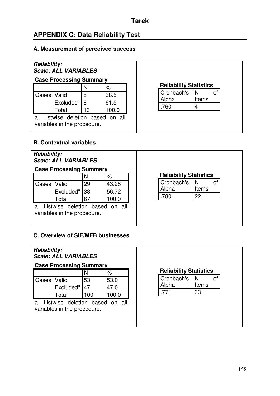## **APPENDIX C: Data Reliability Test**

#### **A. Measurement of perceived success**

| <b>Reliability:</b><br><b>Scale: ALL VARIABLES</b>               |    |       |                               |         |
|------------------------------------------------------------------|----|-------|-------------------------------|---------|
| <b>Case Processing Summary</b>                                   |    |       |                               |         |
|                                                                  | N  | %     | <b>Reliability Statistics</b> |         |
| Cases Valid                                                      | 5  | 38.5  | Cronbach's                    | N<br>οf |
| Excluded <sup>a</sup>                                            |    | 61.5  | Alpha                         | Items   |
| Total                                                            | 13 | 100.0 | .760                          |         |
| a. Listwise deletion based on all<br>variables in the procedure. |    |       |                               |         |

## **B. Contextual variables**



### **C. Overview of SIE/MFB businesses**

| <b>Reliability:</b><br><b>Scale: ALL VARIABLES</b>                  |          |              |                               |                   |    |
|---------------------------------------------------------------------|----------|--------------|-------------------------------|-------------------|----|
| <b>Case Processing Summary</b>                                      |          |              |                               |                   |    |
|                                                                     | N        | $\%$         | <b>Reliability Statistics</b> |                   |    |
| Cases Valid<br>Excluded <sup>a</sup>                                | 53<br>47 | 53.0<br>47.0 | Cronbach's<br>Alpha           | N<br><b>Items</b> | οf |
| Total                                                               | 100      | 100.0        | .771                          | 33                |    |
| Listwise deletion based on all<br>a.<br>variables in the procedure. |          |              |                               |                   |    |